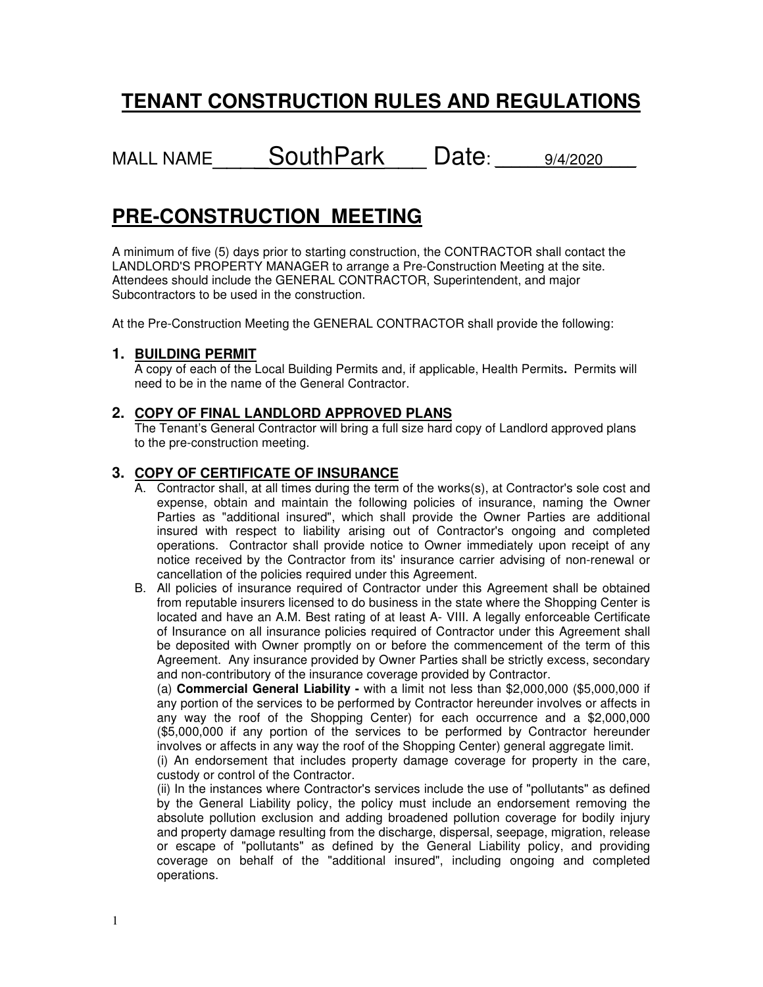# **TENANT CONSTRUCTION RULES AND REGULATIONS**

MALL NAME \_\_\_\_ SouthPark \_\_\_\_ Date: \_\_\_\_\_9/4/2020

# **PRE-CONSTRUCTION MEETING**

A minimum of five (5) days prior to starting construction, the CONTRACTOR shall contact the LANDLORD'S PROPERTY MANAGER to arrange a Pre-Construction Meeting at the site. Attendees should include the GENERAL CONTRACTOR, Superintendent, and major Subcontractors to be used in the construction.

At the Pre-Construction Meeting the GENERAL CONTRACTOR shall provide the following:

# **1. BUILDING PERMIT**

A copy of each of the Local Building Permits and, if applicable, Health Permits**.** Permits will need to be in the name of the General Contractor.

# **2. COPY OF FINAL LANDLORD APPROVED PLANS**

The Tenant's General Contractor will bring a full size hard copy of Landlord approved plans to the pre-construction meeting.

# **3. COPY OF CERTIFICATE OF INSURANCE**

- A. Contractor shall, at all times during the term of the works(s), at Contractor's sole cost and expense, obtain and maintain the following policies of insurance, naming the Owner Parties as "additional insured", which shall provide the Owner Parties are additional insured with respect to liability arising out of Contractor's ongoing and completed operations. Contractor shall provide notice to Owner immediately upon receipt of any notice received by the Contractor from its' insurance carrier advising of non-renewal or cancellation of the policies required under this Agreement.
- B. All policies of insurance required of Contractor under this Agreement shall be obtained from reputable insurers licensed to do business in the state where the Shopping Center is located and have an A.M. Best rating of at least A- VIII. A legally enforceable Certificate of Insurance on all insurance policies required of Contractor under this Agreement shall be deposited with Owner promptly on or before the commencement of the term of this Agreement. Any insurance provided by Owner Parties shall be strictly excess, secondary and non-contributory of the insurance coverage provided by Contractor.

(a) **Commercial General Liability -** with a limit not less than \$2,000,000 (\$5,000,000 if any portion of the services to be performed by Contractor hereunder involves or affects in any way the roof of the Shopping Center) for each occurrence and a \$2,000,000 (\$5,000,000 if any portion of the services to be performed by Contractor hereunder involves or affects in any way the roof of the Shopping Center) general aggregate limit.

(i) An endorsement that includes property damage coverage for property in the care, custody or control of the Contractor.

(ii) In the instances where Contractor's services include the use of "pollutants" as defined by the General Liability policy, the policy must include an endorsement removing the absolute pollution exclusion and adding broadened pollution coverage for bodily injury and property damage resulting from the discharge, dispersal, seepage, migration, release or escape of "pollutants" as defined by the General Liability policy, and providing coverage on behalf of the "additional insured", including ongoing and completed operations.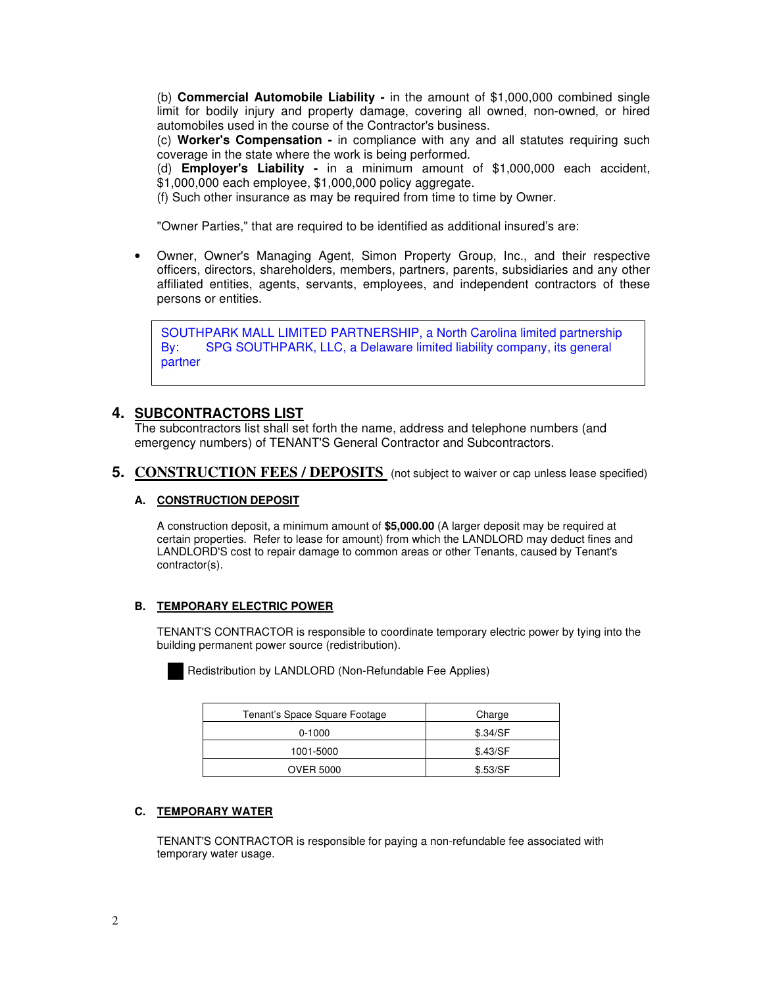(b) **Commercial Automobile Liability -** in the amount of \$1,000,000 combined single limit for bodily injury and property damage, covering all owned, non-owned, or hired automobiles used in the course of the Contractor's business.

(c) **Worker's Compensation -** in compliance with any and all statutes requiring such coverage in the state where the work is being performed.

(d) **Employer's Liability -** in a minimum amount of \$1,000,000 each accident, \$1,000,000 each employee, \$1,000,000 policy aggregate.

(f) Such other insurance as may be required from time to time by Owner.

"Owner Parties," that are required to be identified as additional insured's are:

• Owner, Owner's Managing Agent, Simon Property Group, Inc., and their respective officers, directors, shareholders, members, partners, parents, subsidiaries and any other affiliated entities, agents, servants, employees, and independent contractors of these persons or entities.

**ISPOTT IN IN WALL LIMITED TATTIVE TOTILE, a NORTH SCIONAL INNEGRATION BY:** SPG SOUTHPARK, LLC, a Delaware limited liability company, its general SOUTHPARK MALL LIMITED PARTNERSHIP, a North Carolina limited partnership partner

# **4. SUBCONTRACTORS LIST**

The subcontractors list shall set forth the name, address and telephone numbers (and emergency numbers) of TENANT'S General Contractor and Subcontractors.

**5. CONSTRUCTION FEES / DEPOSITS** (not subject to waiver or cap unless lease specified)

#### **A. CONSTRUCTION DEPOSIT**

A construction deposit, a minimum amount of **\$5,000.00** (A larger deposit may be required at certain properties. Refer to lease for amount) from which the LANDLORD may deduct fines and LANDLORD'S cost to repair damage to common areas or other Tenants, caused by Tenant's contractor(s).

#### **B. TEMPORARY ELECTRIC POWER**

TENANT'S CONTRACTOR is responsible to coordinate temporary electric power by tying into the building permanent power source (redistribution).



Redistribution by LANDLORD (Non-Refundable Fee Applies)

| Tenant's Space Square Footage | Charge   |
|-------------------------------|----------|
| $0-1000$                      | \$.34/SF |
| 1001-5000                     | \$.43/SF |
| <b>OVER 5000</b>              | \$.53/SF |

#### **C. TEMPORARY WATER**

TENANT'S CONTRACTOR is responsible for paying a non-refundable fee associated with temporary water usage.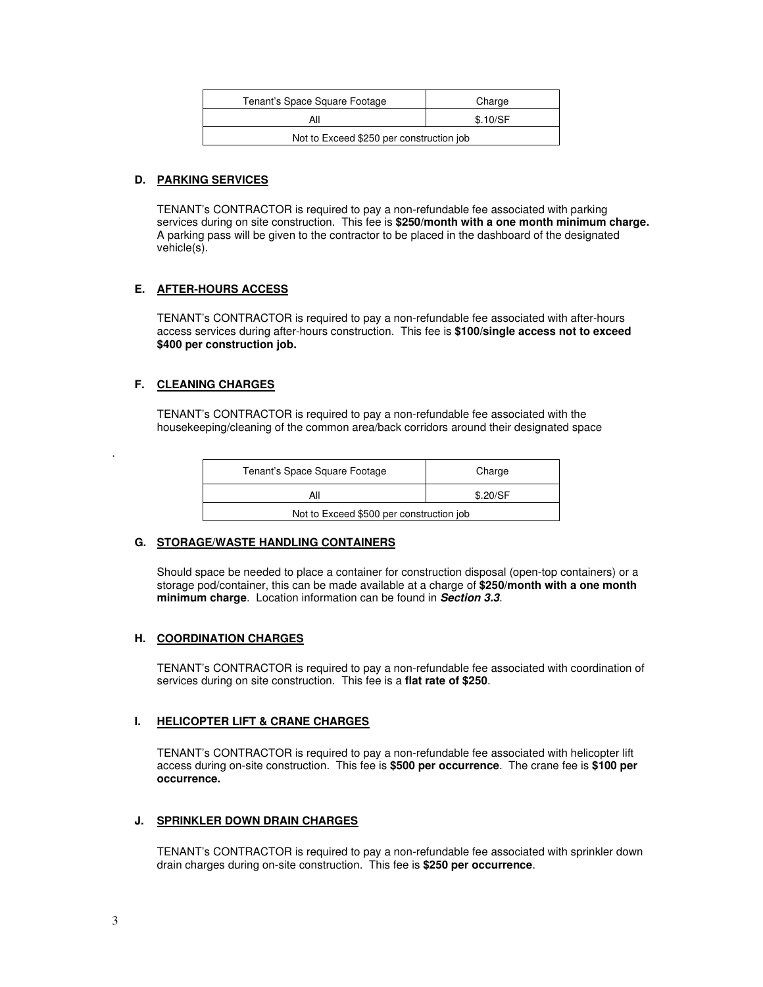| Tenant's Space Square Footage            | Charge   |  |
|------------------------------------------|----------|--|
| Αll                                      | \$.10/SF |  |
| Not to Exceed \$250 per construction job |          |  |

#### **D. PARKING SERVICES**

TENANT's CONTRACTOR is required to pay a non-refundable fee associated with parking services during on site construction. This fee is **\$250/month with a one month minimum charge.**  A parking pass will be given to the contractor to be placed in the dashboard of the designated vehicle(s).

#### **E. AFTER-HOURS ACCESS**

TENANT's CONTRACTOR is required to pay a non-refundable fee associated with after-hours access services during after-hours construction. This fee is **\$100/single access not to exceed \$400 per construction job.** 

#### **F. CLEANING CHARGES**

TENANT's CONTRACTOR is required to pay a non-refundable fee associated with the housekeeping/cleaning of the common area/back corridors around their designated space

| Tenant's Space Square Footage            | Charge   |
|------------------------------------------|----------|
| All                                      | \$.20/SF |
| Not to Exceed \$500 per construction job |          |

#### **G. STORAGE/WASTE HANDLING CONTAINERS**

Should space be needed to place a container for construction disposal (open-top containers) or a storage pod/container, this can be made available at a charge of **\$250/month with a one month minimum charge**. Location information can be found in **Section 3.3**.

#### **H. COORDINATION CHARGES**

TENANT's CONTRACTOR is required to pay a non-refundable fee associated with coordination of services during on site construction. This fee is a **flat rate of \$250**.

#### **I. HELICOPTER LIFT & CRANE CHARGES**

TENANT's CONTRACTOR is required to pay a non-refundable fee associated with helicopter lift access during on-site construction. This fee is **\$500 per occurrence**. The crane fee is **\$100 per occurrence.** 

#### **J. SPRINKLER DOWN DRAIN CHARGES**

TENANT's CONTRACTOR is required to pay a non-refundable fee associated with sprinkler down drain charges during on-site construction. This fee is **\$250 per occurrence**.

.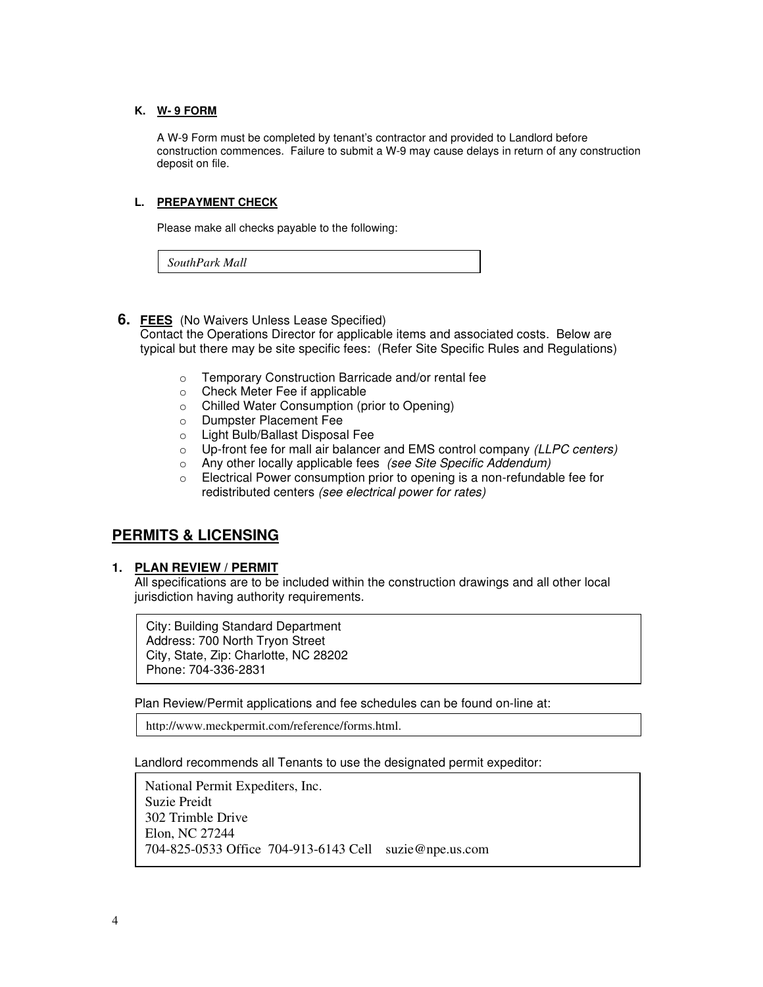#### **K. W- 9 FORM**

A W-9 Form must be completed by tenant's contractor and provided to Landlord before construction commences. Failure to submit a W-9 may cause delays in return of any construction deposit on file.

### **L. PREPAYMENT CHECK**

Please make all checks payable to the following:

*SouthPark Mall*

### **6. FEES** (No Waivers Unless Lease Specified)

Contact the Operations Director for applicable items and associated costs. Below are typical but there may be site specific fees: (Refer Site Specific Rules and Regulations)

- o Temporary Construction Barricade and/or rental fee
- o Check Meter Fee if applicable
- o Chilled Water Consumption (prior to Opening)
- o Dumpster Placement Fee
- o Light Bulb/Ballast Disposal Fee
- o Up-front fee for mall air balancer and EMS control company (LLPC centers)
- o Any other locally applicable fees (see Site Specific Addendum)
- o Electrical Power consumption prior to opening is a non-refundable fee for redistributed centers (see electrical power for rates)

# **PERMITS & LICENSING**

#### **1. PLAN REVIEW / PERMIT**

All specifications are to be included within the construction drawings and all other local jurisdiction having authority requirements.

City: Building Standard Department Address: 700 North Tryon Street City, State, Zip: Charlotte, NC 28202 Phone: 704-336-2831

Plan Review/Permit applications and fee schedules can be found on-line at:

http://www.meckpermit.com/reference/forms.html.

Landlord recommends all Tenants to use the designated permit expeditor:

National Permit Expediters, Inc. Suzie Preidt 302 Trimble Drive Elon, NC 27244 704-825-0533 Office 704-913-6143 Cell suzie@npe.us.com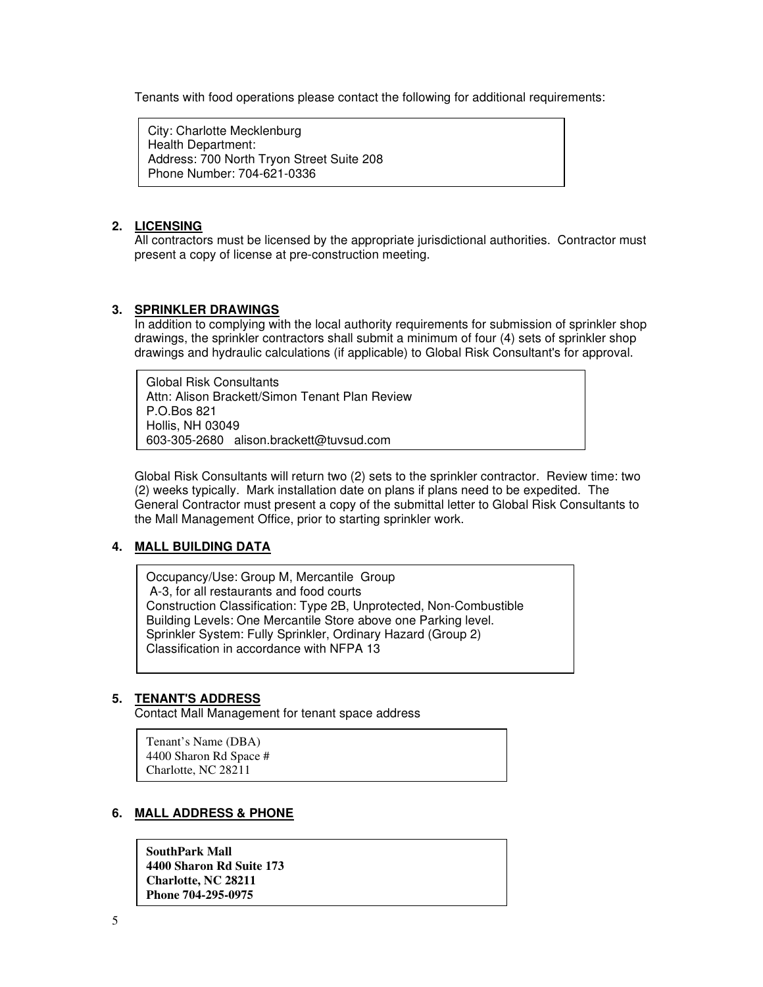Tenants with food operations please contact the following for additional requirements:

City: Charlotte Mecklenburg Health Department: Address: 700 North Tryon Street Suite 208 Phone Number: 704-621-0336

# **2. LICENSING**

All contractors must be licensed by the appropriate jurisdictional authorities. Contractor must present a copy of license at pre-construction meeting.

# **3. SPRINKLER DRAWINGS**

In addition to complying with the local authority requirements for submission of sprinkler shop drawings, the sprinkler contractors shall submit a minimum of four (4) sets of sprinkler shop drawings and hydraulic calculations (if applicable) to Global Risk Consultant's for approval.

Global Risk Consultants Attn: Alison Brackett/Simon Tenant Plan Review P.O.Bos 821 Hollis, NH 03049 603-305-2680 alison.brackett@tuvsud.com

Global Risk Consultants will return two (2) sets to the sprinkler contractor. Review time: two (2) weeks typically. Mark installation date on plans if plans need to be expedited. The General Contractor must present a copy of the submittal letter to Global Risk Consultants to the Mall Management Office, prior to starting sprinkler work.

# **4. MALL BUILDING DATA**

Occupancy/Use: Group M, Mercantile Group A-3, for all restaurants and food courts Construction Classification: Type 2B, Unprotected, Non-Combustible Building Levels: One Mercantile Store above one Parking level. Sprinkler System: Fully Sprinkler, Ordinary Hazard (Group 2) Classification in accordance with NFPA 13

# **5. TENANT'S ADDRESS**

Contact Mall Management for tenant space address

Tenant's Name (DBA) 4400 Sharon Rd Space # Charlotte, NC 28211

# **6. MALL ADDRESS & PHONE**

**SouthPark Mall 4400 Sharon Rd Suite 173 Charlotte, NC 28211 Phone 704-295-0975**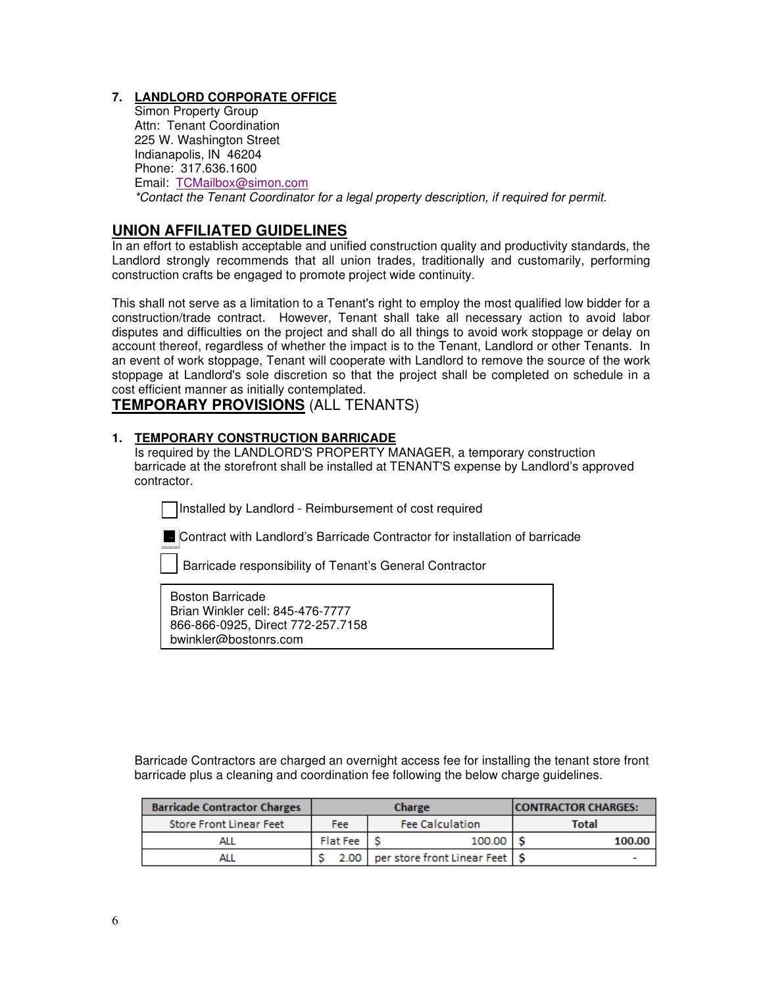# **7. LANDLORD CORPORATE OFFICE**

Simon Property Group Attn: Tenant Coordination 225 W. Washington Street Indianapolis, IN 46204 Phone: 317.636.1600 Email: TCMailbox@simon.com \*Contact the Tenant Coordinator for a legal property description, if required for permit.

# **UNION AFFILIATED GUIDELINES**

In an effort to establish acceptable and unified construction quality and productivity standards, the Landlord strongly recommends that all union trades, traditionally and customarily, performing construction crafts be engaged to promote project wide continuity.

This shall not serve as a limitation to a Tenant's right to employ the most qualified low bidder for a construction/trade contract. However, Tenant shall take all necessary action to avoid labor disputes and difficulties on the project and shall do all things to avoid work stoppage or delay on account thereof, regardless of whether the impact is to the Tenant, Landlord or other Tenants. In an event of work stoppage, Tenant will cooperate with Landlord to remove the source of the work stoppage at Landlord's sole discretion so that the project shall be completed on schedule in a cost efficient manner as initially contemplated.

# **TEMPORARY PROVISIONS** (ALL TENANTS)

# **1. TEMPORARY CONSTRUCTION BARRICADE**

Is required by the LANDLORD'S PROPERTY MANAGER, a temporary construction barricade at the storefront shall be installed at TENANT'S expense by Landlord's approved contractor.

Installed by Landlord - Reimbursement of cost required

Contract with Landlord's Barricade Contractor for installation of barricade

Barricade responsibility of Tenant's General Contractor

L

866-866-0925, Direct 772-257.7158 Boston Barricade Brian Winkler cell: 845-476-7777 bwinkler@bostonrs.com

Barricade Contractors are charged an overnight access fee for installing the tenant store front barricade plus a cleaning and coordination fee following the below charge guidelines.

| <b>Barricade Contractor Charges</b> | Charge             |                                       | <b>CONTRACTOR CHARGES:</b> |  |
|-------------------------------------|--------------------|---------------------------------------|----------------------------|--|
| <b>Store Front Linear Feet</b>      | Fee                | <b>Fee Calculation</b>                | <b>Total</b>               |  |
| ALL                                 | 100.00<br>Flat Fee |                                       | 100.00                     |  |
| ALL                                 |                    | 2.00 per store front Linear Feet   \$ |                            |  |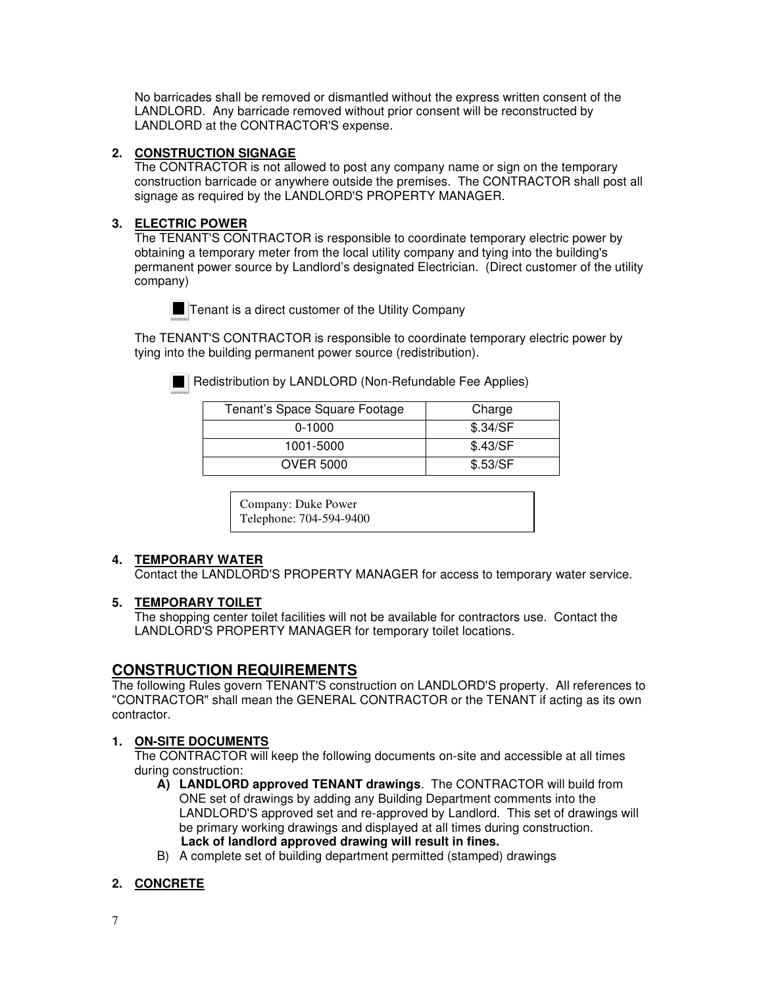No barricades shall be removed or dismantled without the express written consent of the LANDLORD. Any barricade removed without prior consent will be reconstructed by LANDLORD at the CONTRACTOR'S expense.

# **2. CONSTRUCTION SIGNAGE**

The CONTRACTOR is not allowed to post any company name or sign on the temporary construction barricade or anywhere outside the premises. The CONTRACTOR shall post all signage as required by the LANDLORD'S PROPERTY MANAGER.

# **3. ELECTRIC POWER**

The TENANT'S CONTRACTOR is responsible to coordinate temporary electric power by obtaining a temporary meter from the local utility company and tying into the building's permanent power source by Landlord's designated Electrician. (Direct customer of the utility company)



 $\blacksquare$  Tenant is a direct customer of the Utility Company

The TENANT'S CONTRACTOR is responsible to coordinate temporary electric power by tying into the building permanent power source (redistribution).

Redistribution by LANDLORD (Non-Refundable Fee Applies)

| Tenant's Space Square Footage | Charge   |
|-------------------------------|----------|
| $0-1000$                      | \$.34/SF |
| 1001-5000                     | \$.43/SF |
| <b>OVER 5000</b>              | \$.53/SF |

Company: Duke Power Telephone: 704-594-9400

# **4. TEMPORARY WATER**

Contact the LANDLORD'S PROPERTY MANAGER for access to temporary water service.

# **5. TEMPORARY TOILET**

The shopping center toilet facilities will not be available for contractors use. Contact the LANDLORD'S PROPERTY MANAGER for temporary toilet locations.

# **CONSTRUCTION REQUIREMENTS**

The following Rules govern TENANT'S construction on LANDLORD'S property. All references to "CONTRACTOR" shall mean the GENERAL CONTRACTOR or the TENANT if acting as its own contractor.

# **1. ON-SITE DOCUMENTS**

The CONTRACTOR will keep the following documents on-site and accessible at all times during construction:

- **A) LANDLORD approved TENANT drawings**. The CONTRACTOR will build from ONE set of drawings by adding any Building Department comments into the LANDLORD'S approved set and re-approved by Landlord. This set of drawings will be primary working drawings and displayed at all times during construction.  **Lack of landlord approved drawing will result in fines.**
- B) A complete set of building department permitted (stamped) drawings

# **2. CONCRETE**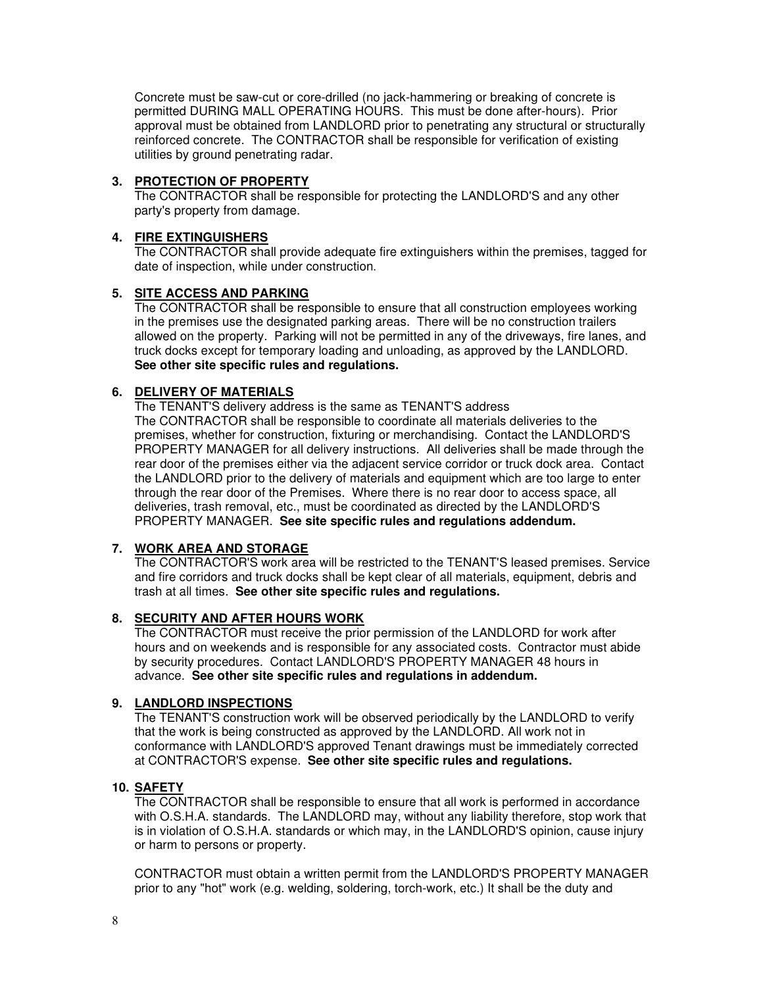Concrete must be saw-cut or core-drilled (no jack-hammering or breaking of concrete is permitted DURING MALL OPERATING HOURS. This must be done after-hours). Prior approval must be obtained from LANDLORD prior to penetrating any structural or structurally reinforced concrete. The CONTRACTOR shall be responsible for verification of existing utilities by ground penetrating radar.

# **3. PROTECTION OF PROPERTY**

The CONTRACTOR shall be responsible for protecting the LANDLORD'S and any other party's property from damage.

# **4. FIRE EXTINGUISHERS**

The CONTRACTOR shall provide adequate fire extinguishers within the premises, tagged for date of inspection, while under construction.

# **5. SITE ACCESS AND PARKING**

The CONTRACTOR shall be responsible to ensure that all construction employees working in the premises use the designated parking areas. There will be no construction trailers allowed on the property. Parking will not be permitted in any of the driveways, fire lanes, and truck docks except for temporary loading and unloading, as approved by the LANDLORD. **See other site specific rules and regulations.** 

# **6. DELIVERY OF MATERIALS**

The TENANT'S delivery address is the same as TENANT'S address The CONTRACTOR shall be responsible to coordinate all materials deliveries to the premises, whether for construction, fixturing or merchandising. Contact the LANDLORD'S PROPERTY MANAGER for all delivery instructions. All deliveries shall be made through the rear door of the premises either via the adjacent service corridor or truck dock area. Contact the LANDLORD prior to the delivery of materials and equipment which are too large to enter through the rear door of the Premises. Where there is no rear door to access space, all deliveries, trash removal, etc., must be coordinated as directed by the LANDLORD'S PROPERTY MANAGER. **See site specific rules and regulations addendum.**

# **7. WORK AREA AND STORAGE**

The CONTRACTOR'S work area will be restricted to the TENANT'S leased premises. Service and fire corridors and truck docks shall be kept clear of all materials, equipment, debris and trash at all times. **See other site specific rules and regulations.** 

# **8. SECURITY AND AFTER HOURS WORK**

The CONTRACTOR must receive the prior permission of the LANDLORD for work after hours and on weekends and is responsible for any associated costs. Contractor must abide by security procedures. Contact LANDLORD'S PROPERTY MANAGER 48 hours in advance. **See other site specific rules and regulations in addendum.** 

# **9. LANDLORD INSPECTIONS**

The TENANT'S construction work will be observed periodically by the LANDLORD to verify that the work is being constructed as approved by the LANDLORD. All work not in conformance with LANDLORD'S approved Tenant drawings must be immediately corrected at CONTRACTOR'S expense. **See other site specific rules and regulations.** 

# **10. SAFETY**

The CONTRACTOR shall be responsible to ensure that all work is performed in accordance with O.S.H.A. standards. The LANDLORD may, without any liability therefore, stop work that is in violation of O.S.H.A. standards or which may, in the LANDLORD'S opinion, cause injury or harm to persons or property.

CONTRACTOR must obtain a written permit from the LANDLORD'S PROPERTY MANAGER prior to any "hot" work (e.g. welding, soldering, torch-work, etc.) It shall be the duty and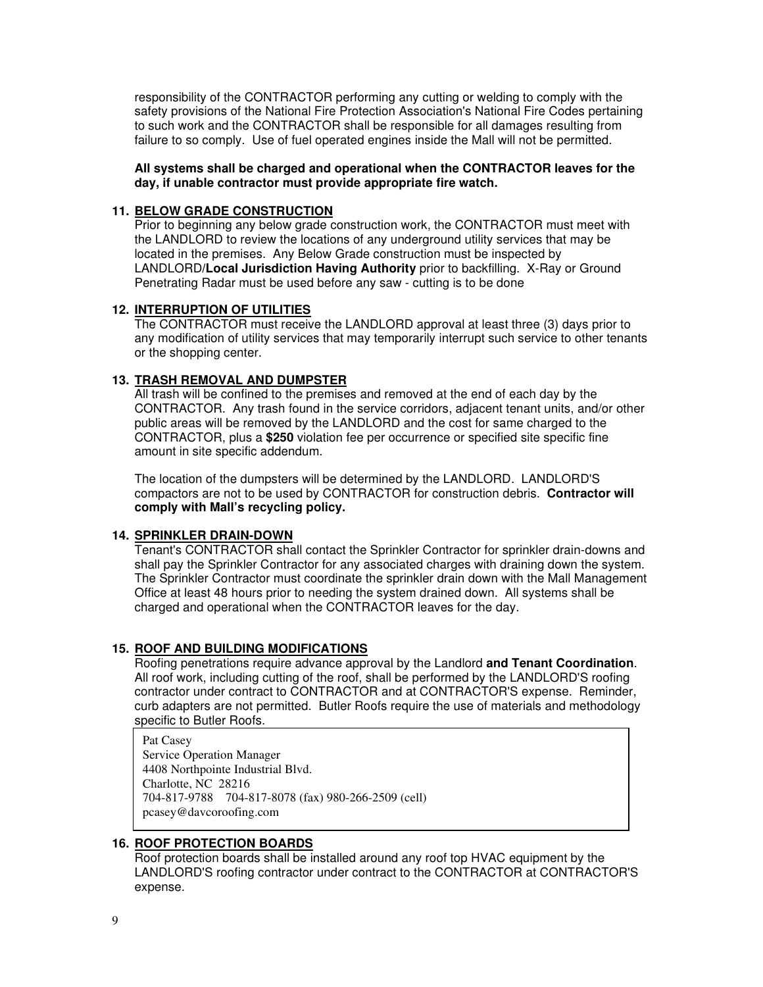responsibility of the CONTRACTOR performing any cutting or welding to comply with the safety provisions of the National Fire Protection Association's National Fire Codes pertaining to such work and the CONTRACTOR shall be responsible for all damages resulting from failure to so comply. Use of fuel operated engines inside the Mall will not be permitted.

### **All systems shall be charged and operational when the CONTRACTOR leaves for the day, if unable contractor must provide appropriate fire watch.**

### **11. BELOW GRADE CONSTRUCTION**

Prior to beginning any below grade construction work, the CONTRACTOR must meet with the LANDLORD to review the locations of any underground utility services that may be located in the premises. Any Below Grade construction must be inspected by LANDLORD**/Local Jurisdiction Having Authority** prior to backfilling. X-Ray or Ground Penetrating Radar must be used before any saw - cutting is to be done

### **12. INTERRUPTION OF UTILITIES**

The CONTRACTOR must receive the LANDLORD approval at least three (3) days prior to any modification of utility services that may temporarily interrupt such service to other tenants or the shopping center.

# **13. TRASH REMOVAL AND DUMPSTER**

All trash will be confined to the premises and removed at the end of each day by the CONTRACTOR. Any trash found in the service corridors, adjacent tenant units, and/or other public areas will be removed by the LANDLORD and the cost for same charged to the CONTRACTOR, plus a **\$250** violation fee per occurrence or specified site specific fine amount in site specific addendum.

The location of the dumpsters will be determined by the LANDLORD. LANDLORD'S compactors are not to be used by CONTRACTOR for construction debris. **Contractor will comply with Mall's recycling policy.** 

# **14. SPRINKLER DRAIN-DOWN**

Tenant's CONTRACTOR shall contact the Sprinkler Contractor for sprinkler drain-downs and shall pay the Sprinkler Contractor for any associated charges with draining down the system. The Sprinkler Contractor must coordinate the sprinkler drain down with the Mall Management Office at least 48 hours prior to needing the system drained down. All systems shall be charged and operational when the CONTRACTOR leaves for the day.

#### **15. ROOF AND BUILDING MODIFICATIONS**

Roofing penetrations require advance approval by the Landlord **and Tenant Coordination**. All roof work, including cutting of the roof, shall be performed by the LANDLORD'S roofing contractor under contract to CONTRACTOR and at CONTRACTOR'S expense. Reminder, curb adapters are not permitted. Butler Roofs require the use of materials and methodology specific to Butler Roofs.

Pat Casey Service Operation Manager 4408 Northpointe Industrial Blvd. Charlotte, NC 28216 704-817-9788 704-817-8078 (fax) 980-266-2509 (cell) pcasey@davcoroofing.com

# **16. ROOF PROTECTION BOARDS**

Roof protection boards shall be installed around any roof top HVAC equipment by the LANDLORD'S roofing contractor under contract to the CONTRACTOR at CONTRACTOR'S expense.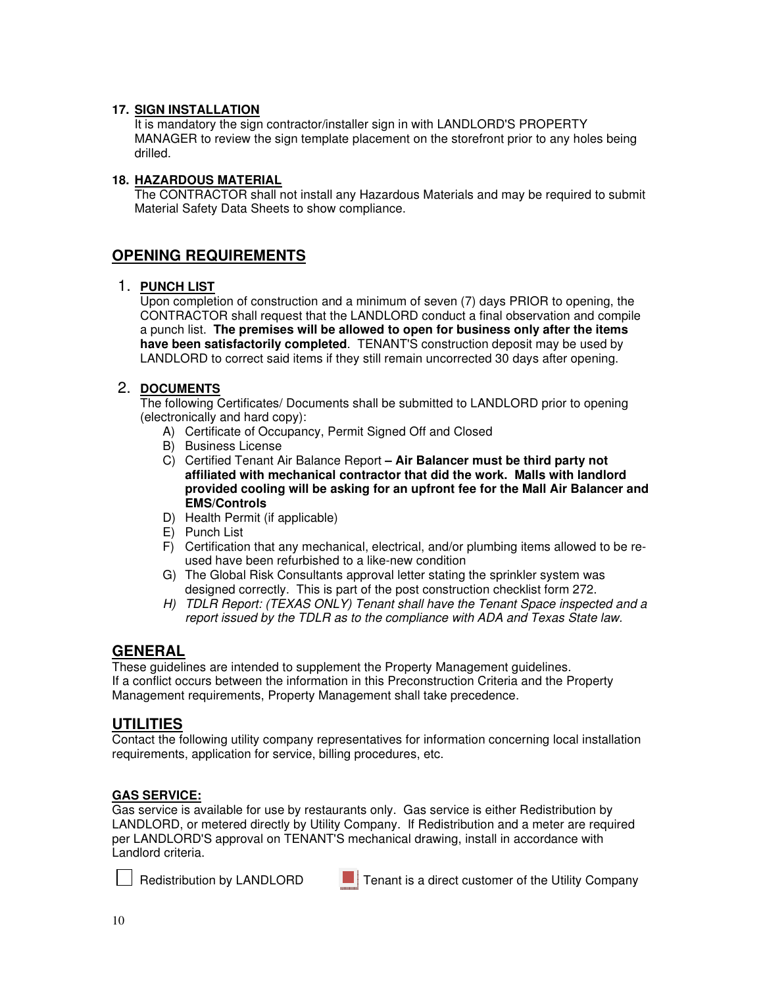# **17. SIGN INSTALLATION**

It is mandatory the sign contractor/installer sign in with LANDLORD'S PROPERTY MANAGER to review the sign template placement on the storefront prior to any holes being drilled.

# **18. HAZARDOUS MATERIAL**

The CONTRACTOR shall not install any Hazardous Materials and may be required to submit Material Safety Data Sheets to show compliance.

# **OPENING REQUIREMENTS**

# 1. **PUNCH LIST**

Upon completion of construction and a minimum of seven (7) days PRIOR to opening, the CONTRACTOR shall request that the LANDLORD conduct a final observation and compile a punch list. **The premises will be allowed to open for business only after the items have been satisfactorily completed**. TENANT'S construction deposit may be used by LANDLORD to correct said items if they still remain uncorrected 30 days after opening.

# 2. **DOCUMENTS**

The following Certificates/ Documents shall be submitted to LANDLORD prior to opening (electronically and hard copy):

- A) Certificate of Occupancy, Permit Signed Off and Closed
- B) Business License
- C) Certified Tenant Air Balance Report  **Air Balancer must be third party not affiliated with mechanical contractor that did the work. Malls with landlord provided cooling will be asking for an upfront fee for the Mall Air Balancer and EMS/Controls**
- D) Health Permit (if applicable)
- E) Punch List
- F) Certification that any mechanical, electrical, and/or plumbing items allowed to be reused have been refurbished to a like-new condition
- G) The Global Risk Consultants approval letter stating the sprinkler system was designed correctly. This is part of the post construction checklist form 272.
- H) TDLR Report: (TEXAS ONLY) Tenant shall have the Tenant Space inspected and a report issued by the TDLR as to the compliance with ADA and Texas State law.

# **GENERAL**

These guidelines are intended to supplement the Property Management guidelines. If a conflict occurs between the information in this Preconstruction Criteria and the Property Management requirements, Property Management shall take precedence.

# **UTILITIES**

Contact the following utility company representatives for information concerning local installation requirements, application for service, billing procedures, etc.

# **GAS SERVICE:**

Gas service is available for use by restaurants only. Gas service is either Redistribution by LANDLORD, or metered directly by Utility Company. If Redistribution and a meter are required per LANDLORD'S approval on TENANT'S mechanical drawing, install in accordance with Landlord criteria.



Redistribution by LANDLORD **Tenant is a direct customer of the Utility Company**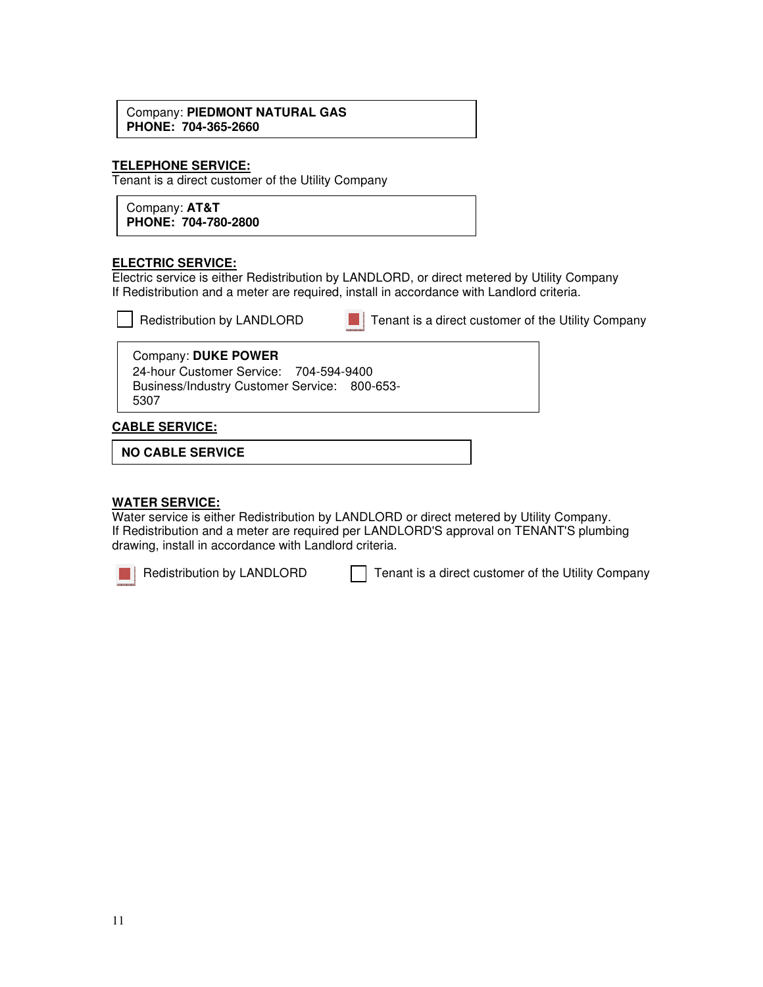### Company: **PIEDMONT NATURAL GAS PHONE: 704-365-2660**

### **TELEPHONE SERVICE:**

Tenant is a direct customer of the Utility Company

Company: **AT&T PHONE: 704-780-2800** 

### **ELECTRIC SERVICE:**

Electric service is either Redistribution by LANDLORD, or direct metered by Utility Company If Redistribution and a meter are required, install in accordance with Landlord criteria.

| Redistribution by LANDLOI |  |  |
|---------------------------|--|--|
|                           |  |  |

 $\Box$  Redistribution by LANDLORD  $\Box$  Tenant is a direct customer of the Utility Company

#### Company: **DUKE POWER** 24-hour Customer Service: 704-594-9400 Business/Industry Customer Service: 800-653- 5307

### **CABLE SERVICE:**

**NO CABLE SERVICE**

#### **WATER SERVICE:**

Water service is either Redistribution by LANDLORD or direct metered by Utility Company. If Redistribution and a meter are required per LANDLORD'S approval on TENANT'S plumbing drawing, install in accordance with Landlord criteria.



Redistribution by LANDLORD Tenant is a direct customer of the Utility Company